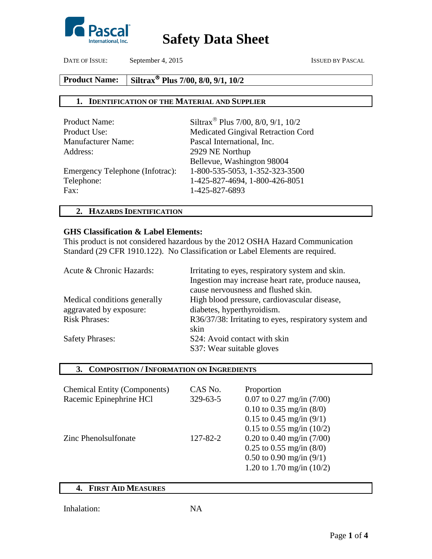

DATE OF ISSUE: September 4, 2015 ISSUED BY PASCAL

### **Product Name: Plus 7/00, 8/0, 9/1, 10/2**

## **1. IDENTIFICATION OF THE MATERIAL AND SUPPLIER**

| Siltrax <sup>®</sup> Plus 7/00, 8/0, 9/1, 10/2 |
|------------------------------------------------|
| Medicated Gingival Retraction Cord             |
| Pascal International, Inc.                     |
| 2929 NE Northup                                |
| Bellevue, Washington 98004                     |
| 1-800-535-5053, 1-352-323-3500                 |
| 1-425-827-4694, 1-800-426-8051                 |
| 1-425-827-6893                                 |
|                                                |

## **2. HAZARDS IDENTIFICATION**

### **GHS Classification & Label Elements:**

This product is not considered hazardous by the 2012 OSHA Hazard Communication Standard (29 CFR 1910.122). No Classification or Label Elements are required.

| Acute & Chronic Hazards:     | Irritating to eyes, respiratory system and skin.      |
|------------------------------|-------------------------------------------------------|
|                              | Ingestion may increase heart rate, produce nausea,    |
|                              | cause nervousness and flushed skin.                   |
| Medical conditions generally | High blood pressure, cardiovascular disease,          |
| aggravated by exposure:      | diabetes, hyperthyroidism.                            |
| <b>Risk Phrases:</b>         | R36/37/38: Irritating to eyes, respiratory system and |
|                              | skin                                                  |
| <b>Safety Phrases:</b>       | S24: Avoid contact with skin                          |
|                              | S37: Wear suitable gloves                             |

## **3. COMPOSITION / INFORMATION ON INGREDIENTS**

| <b>Chemical Entity (Components)</b><br>Racemic Epinephrine HCl | CAS No.<br>329-63-5 | Proportion<br>$0.07$ to $0.27$ mg/in $(7/00)$<br>0.10 to 0.35 mg/in $(8/0)$<br>0.15 to 0.45 mg/in $(9/1)$<br>0.15 to 0.55 mg/in $(10/2)$ |
|----------------------------------------------------------------|---------------------|------------------------------------------------------------------------------------------------------------------------------------------|
| Zinc Phenolsulfonate                                           | 127-82-2            | 0.20 to 0.40 mg/in $(7/00)$<br>$0.25$ to $0.55$ mg/in $(8/0)$<br>0.50 to 0.90 mg/in $(9/1)$<br>1.20 to 1.70 mg/in $(10/2)$               |

## **4. FIRST AID MEASURES**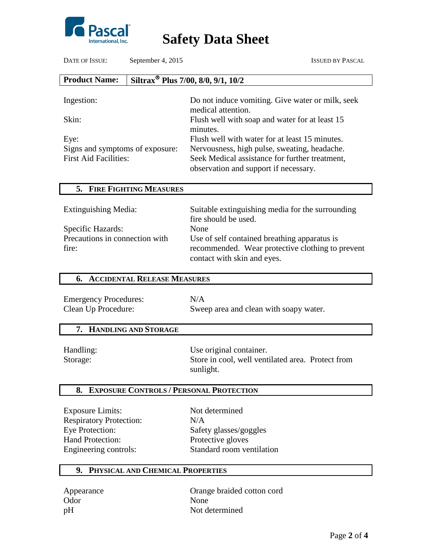

DATE OF ISSUE: September 4, 2015 ISSUED BY PASCAL

| <b>Product Name:</b>            | Siltrax <sup>®</sup> Plus 7/00, 8/0, 9/1, 10/2                                          |
|---------------------------------|-----------------------------------------------------------------------------------------|
|                                 |                                                                                         |
| Ingestion:                      | Do not induce vomiting. Give water or milk, seek<br>medical attention.                  |
| Skin:                           | Flush well with soap and water for at least 15<br>minutes.                              |
| Eye:                            | Flush well with water for at least 15 minutes.                                          |
| Signs and symptoms of exposure: | Nervousness, high pulse, sweating, headache.                                            |
| <b>First Aid Facilities:</b>    | Seek Medical assistance for further treatment,<br>observation and support if necessary. |

| Extinguishing Media:                                         | Suitable extinguishing media for the surrounding<br>fire should be used.                                                                |
|--------------------------------------------------------------|-----------------------------------------------------------------------------------------------------------------------------------------|
| Specific Hazards:<br>Precautions in connection with<br>fire: | None<br>Use of self contained breathing apparatus is<br>recommended. Wear protective clothing to prevent<br>contact with skin and eyes. |

## **6. ACCIDENTAL RELEASE MEASURES**

| <b>Emergency Procedures:</b> | N/A                                    |
|------------------------------|----------------------------------------|
| Clean Up Procedure:          | Sweep area and clean with soapy water. |

## **7. HANDLING AND STORAGE**

**5. FIRE FIGHTING MEASURES**

Handling: Use original container. Storage: Store in cool, well ventilated area. Protect from sunlight.

## **8. EXPOSURE CONTROLS / PERSONAL PROTECTION**

Exposure Limits: Not determined Respiratory Protection: N/A Eye Protection: Safety glasses/goggles Hand Protection: Protective gloves

Engineering controls: Standard room ventilation

## **9. PHYSICAL AND CHEMICAL PROPERTIES**

Odor None

Appearance Orange braided cotton cord pH Not determined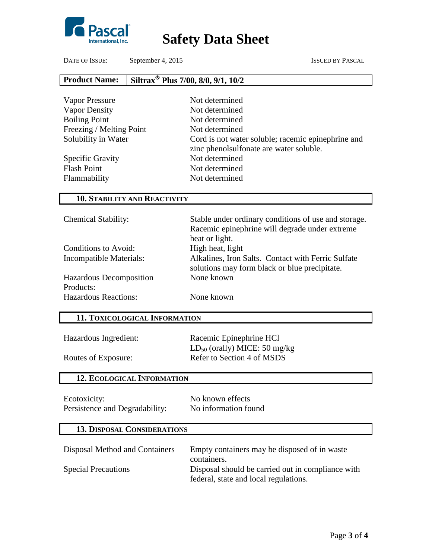

DATE OF ISSUE: September 4, 2015 ISSUED BY PASCAL

#### **Product Name: Plus 7/00, 8/0, 9/1, 10/2**

| Vapor Pressure           | Not determined                                                                                |
|--------------------------|-----------------------------------------------------------------------------------------------|
| Vapor Density            | Not determined                                                                                |
| <b>Boiling Point</b>     | Not determined                                                                                |
| Freezing / Melting Point | Not determined                                                                                |
| Solubility in Water      | Cord is not water soluble; racemic epinephrine and<br>zinc phenolsulfonate are water soluble. |
| Specific Gravity         | Not determined                                                                                |
| <b>Flash Point</b>       | Not determined                                                                                |
| Flammability             | Not determined                                                                                |

## **10. STABILITY AND REACTIVITY**

| <b>Chemical Stability:</b>  | Stable under ordinary conditions of use and storage.                                                |
|-----------------------------|-----------------------------------------------------------------------------------------------------|
|                             | Racemic epinephrine will degrade under extreme                                                      |
|                             | heat or light.                                                                                      |
| Conditions to Avoid:        | High heat, light                                                                                    |
| Incompatible Materials:     | Alkalines, Iron Salts. Contact with Ferric Sulfate<br>solutions may form black or blue precipitate. |
| Hazardous Decomposition     | None known                                                                                          |
| Products:                   |                                                                                                     |
|                             |                                                                                                     |
| <b>Hazardous Reactions:</b> | None known                                                                                          |

## **11. TOXICOLOGICAL INFORMATION**

| Hazardous Ingredient: |  |
|-----------------------|--|
|-----------------------|--|

Racemic Epinephrine HCl LD<sub>50</sub> (orally) MICE: 50 mg/kg Routes of Exposure: Refer to Section 4 of MSDS

| Ecotoxicity:                   | No known effects     |
|--------------------------------|----------------------|
| Persistence and Degradability: | No information found |

## **13. DISPOSAL CONSIDERATIONS**

**12. ECOLOGICAL INFORMATION**

| Disposal Method and Containers | Empty containers may be disposed of in waste<br>containers.                                |
|--------------------------------|--------------------------------------------------------------------------------------------|
| <b>Special Precautions</b>     | Disposal should be carried out in compliance with<br>federal, state and local regulations. |